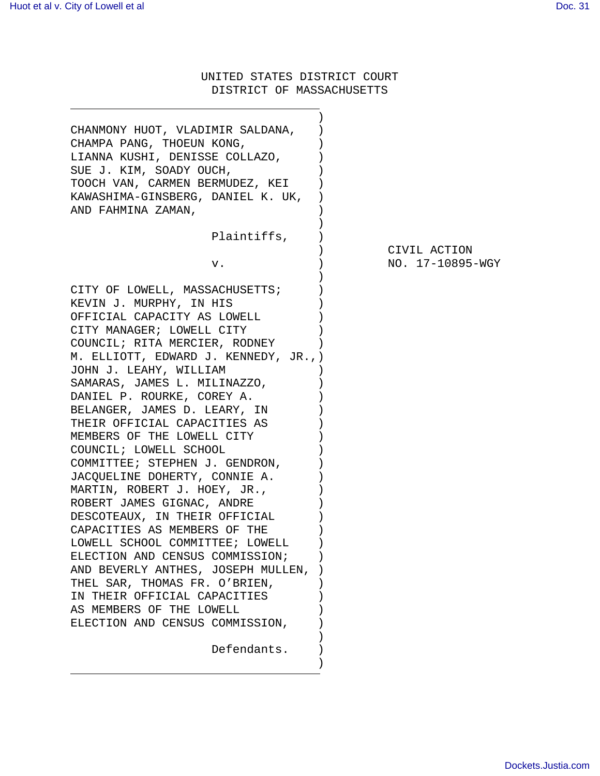UNITED STATES DISTRICT COURT DISTRICT OF MASSACHUSETTS

| CHANMONY HUOT, VLADIMIR SALDANA,<br>CHAMPA PANG, THOEUN KONG,<br>LIANNA KUSHI, DENISSE COLLAZO,<br>SUE J. KIM, SOADY OUCH,<br>TOOCH VAN, CARMEN BERMUDEZ, KEI<br>KAWASHIMA-GINSBERG, DANIEL K. UK,<br>AND FAHMINA ZAMAN, |                  |
|--------------------------------------------------------------------------------------------------------------------------------------------------------------------------------------------------------------------------|------------------|
| Plaintiffs,                                                                                                                                                                                                              |                  |
|                                                                                                                                                                                                                          | CIVIL ACTION     |
| v.                                                                                                                                                                                                                       | NO. 17-10895-WGY |
| CITY OF LOWELL, MASSACHUSETTS;                                                                                                                                                                                           |                  |
| KEVIN J. MURPHY, IN HIS                                                                                                                                                                                                  |                  |
| OFFICIAL CAPACITY AS LOWELL                                                                                                                                                                                              |                  |
| CITY MANAGER; LOWELL CITY                                                                                                                                                                                                |                  |
| COUNCIL; RITA MERCIER, RODNEY                                                                                                                                                                                            |                  |
| M. ELLIOTT, EDWARD J. KENNEDY, JR.,)                                                                                                                                                                                     |                  |
| JOHN J. LEAHY, WILLIAM                                                                                                                                                                                                   |                  |
| SAMARAS, JAMES L. MILINAZZO,                                                                                                                                                                                             |                  |
| DANIEL P. ROURKE, COREY A.                                                                                                                                                                                               |                  |
| BELANGER, JAMES D. LEARY, IN                                                                                                                                                                                             |                  |
| THEIR OFFICIAL CAPACITIES AS                                                                                                                                                                                             |                  |
| MEMBERS OF THE LOWELL CITY                                                                                                                                                                                               |                  |
| COUNCIL; LOWELL SCHOOL                                                                                                                                                                                                   |                  |
| COMMITTEE; STEPHEN J. GENDRON,                                                                                                                                                                                           |                  |
| JACQUELINE DOHERTY, CONNIE A.                                                                                                                                                                                            |                  |
| MARTIN, ROBERT J. HOEY, JR.,                                                                                                                                                                                             |                  |
| ROBERT JAMES GIGNAC, ANDRE                                                                                                                                                                                               |                  |
| DESCOTEAUX, IN THEIR OFFICIAL                                                                                                                                                                                            |                  |
| CAPACITIES AS MEMBERS OF THE                                                                                                                                                                                             |                  |
| LOWELL SCHOOL COMMITTEE; LOWELL                                                                                                                                                                                          |                  |
| ELECTION AND CENSUS COMMISSION;                                                                                                                                                                                          |                  |
| AND BEVERLY ANTHES, JOSEPH MULLEN,                                                                                                                                                                                       |                  |
| THEL SAR, THOMAS FR. O'BRIEN,                                                                                                                                                                                            |                  |
| IN THEIR OFFICIAL CAPACITIES                                                                                                                                                                                             |                  |
| AS MEMBERS OF THE LOWELL                                                                                                                                                                                                 |                  |
| ELECTION AND CENSUS COMMISSION,                                                                                                                                                                                          |                  |
|                                                                                                                                                                                                                          |                  |
| Defendants.                                                                                                                                                                                                              |                  |
|                                                                                                                                                                                                                          |                  |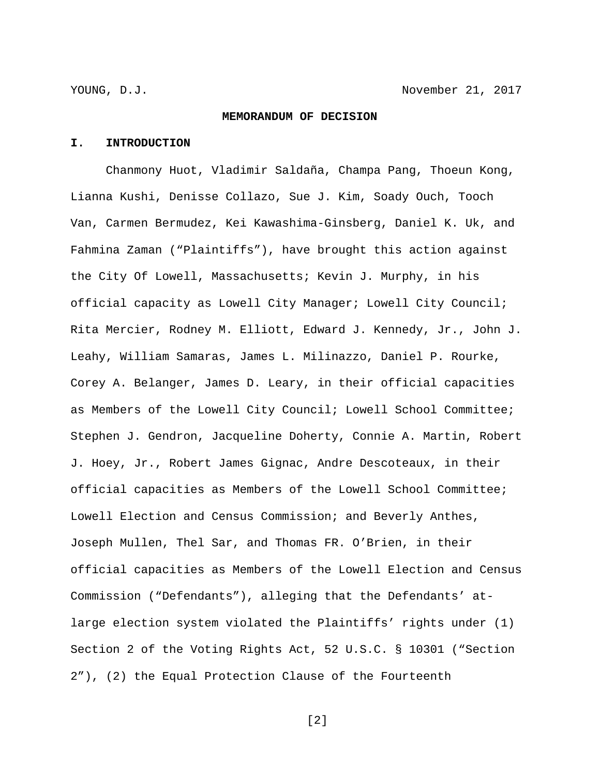#### **MEMORANDUM OF DECISION**

#### **I. INTRODUCTION**

Chanmony Huot, Vladimir Saldaña, Champa Pang, Thoeun Kong, Lianna Kushi, Denisse Collazo, Sue J. Kim, Soady Ouch, Tooch Van, Carmen Bermudez, Kei Kawashima-Ginsberg, Daniel K. Uk, and Fahmina Zaman ("Plaintiffs"), have brought this action against the City Of Lowell, Massachusetts; Kevin J. Murphy, in his official capacity as Lowell City Manager; Lowell City Council; Rita Mercier, Rodney M. Elliott, Edward J. Kennedy, Jr., John J. Leahy, William Samaras, James L. Milinazzo, Daniel P. Rourke, Corey A. Belanger, James D. Leary, in their official capacities as Members of the Lowell City Council; Lowell School Committee; Stephen J. Gendron, Jacqueline Doherty, Connie A. Martin, Robert J. Hoey, Jr., Robert James Gignac, Andre Descoteaux, in their official capacities as Members of the Lowell School Committee; Lowell Election and Census Commission; and Beverly Anthes, Joseph Mullen, Thel Sar, and Thomas FR. O'Brien, in their official capacities as Members of the Lowell Election and Census Commission ("Defendants"), alleging that the Defendants' atlarge election system violated the Plaintiffs' rights under (1) Section 2 of the Voting Rights Act, 52 U.S.C. § 10301 ("Section 2"), (2) the Equal Protection Clause of the Fourteenth

[2]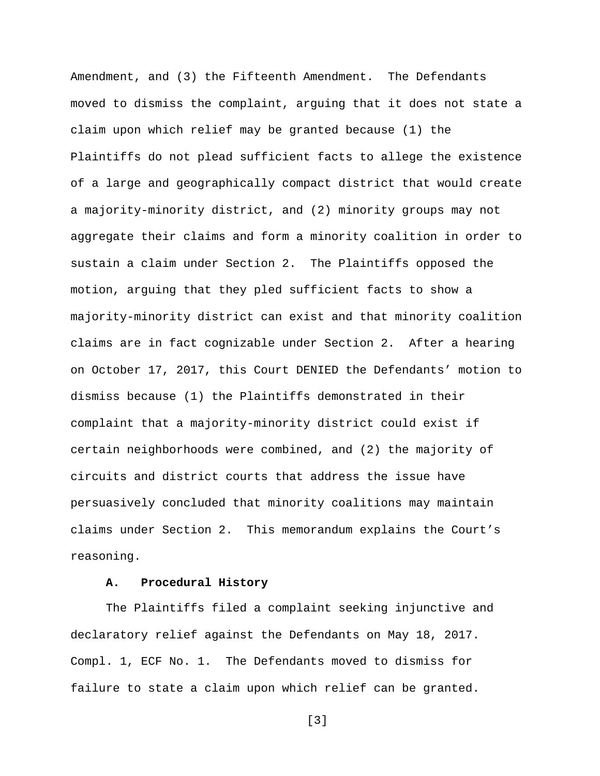Amendment, and (3) the Fifteenth Amendment. The Defendants moved to dismiss the complaint, arguing that it does not state a claim upon which relief may be granted because (1) the Plaintiffs do not plead sufficient facts to allege the existence of a large and geographically compact district that would create a majority-minority district, and (2) minority groups may not aggregate their claims and form a minority coalition in order to sustain a claim under Section 2. The Plaintiffs opposed the motion, arguing that they pled sufficient facts to show a majority-minority district can exist and that minority coalition claims are in fact cognizable under Section 2. After a hearing on October 17, 2017, this Court DENIED the Defendants' motion to dismiss because (1) the Plaintiffs demonstrated in their complaint that a majority-minority district could exist if certain neighborhoods were combined, and (2) the majority of circuits and district courts that address the issue have persuasively concluded that minority coalitions may maintain claims under Section 2. This memorandum explains the Court's reasoning.

# **A. Procedural History**

The Plaintiffs filed a complaint seeking injunctive and declaratory relief against the Defendants on May 18, 2017. Compl. 1, ECF No. 1. The Defendants moved to dismiss for failure to state a claim upon which relief can be granted.

[3]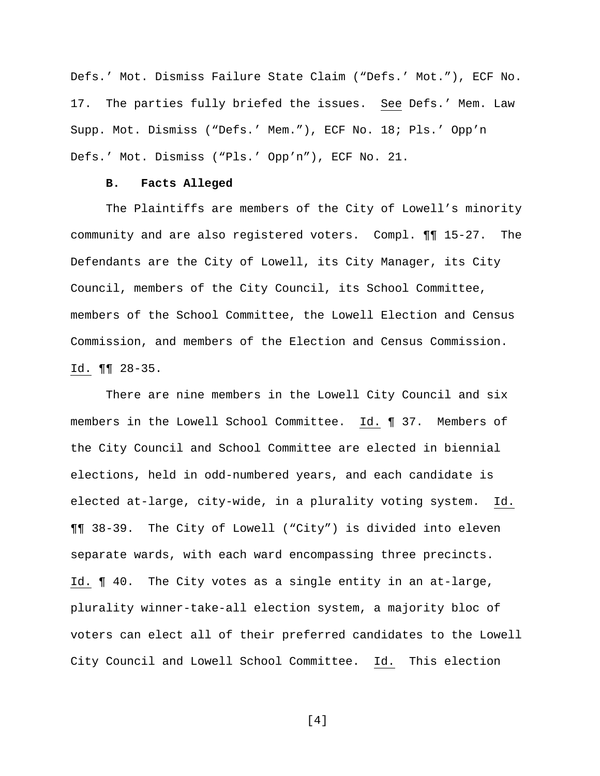Defs.' Mot. Dismiss Failure State Claim ("Defs.' Mot."), ECF No. 17. The parties fully briefed the issues. See Defs.' Mem. Law Supp. Mot. Dismiss ("Defs.' Mem."), ECF No. 18; Pls.' Opp'n Defs.' Mot. Dismiss ("Pls.' Opp'n"), ECF No. 21.

#### **B. Facts Alleged**

The Plaintiffs are members of the City of Lowell's minority community and are also registered voters. Compl. ¶¶ 15-27. The Defendants are the City of Lowell, its City Manager, its City Council, members of the City Council, its School Committee, members of the School Committee, the Lowell Election and Census Commission, and members of the Election and Census Commission. Id. ¶¶ 28-35.

There are nine members in the Lowell City Council and six members in the Lowell School Committee. Id. ¶ 37. Members of the City Council and School Committee are elected in biennial elections, held in odd-numbered years, and each candidate is elected at-large, city-wide, in a plurality voting system. Id. ¶¶ 38-39. The City of Lowell ("City") is divided into eleven separate wards, with each ward encompassing three precincts. Id. ¶ 40. The City votes as a single entity in an at-large, plurality winner-take-all election system, a majority bloc of voters can elect all of their preferred candidates to the Lowell City Council and Lowell School Committee. Id. This election

[4]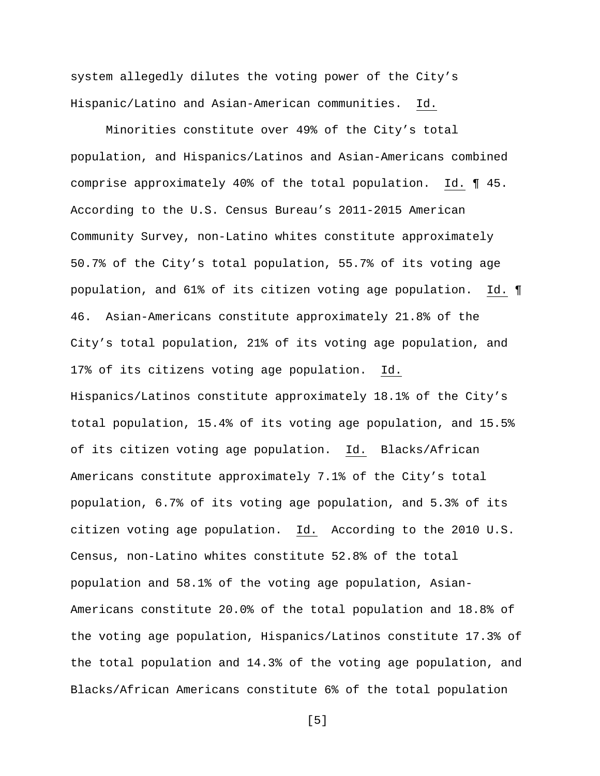system allegedly dilutes the voting power of the City's Hispanic/Latino and Asian-American communities. Id.

Minorities constitute over 49% of the City's total population, and Hispanics/Latinos and Asian-Americans combined comprise approximately 40% of the total population. Id. ¶ 45. According to the U.S. Census Bureau's 2011-2015 American Community Survey, non-Latino whites constitute approximately 50.7% of the City's total population, 55.7% of its voting age population, and 61% of its citizen voting age population. Id. ¶ 46. Asian-Americans constitute approximately 21.8% of the City's total population, 21% of its voting age population, and 17% of its citizens voting age population. Id. Hispanics/Latinos constitute approximately 18.1% of the City's total population, 15.4% of its voting age population, and 15.5% of its citizen voting age population. Id. Blacks/African Americans constitute approximately 7.1% of the City's total population, 6.7% of its voting age population, and 5.3% of its citizen voting age population. Id. According to the 2010 U.S. Census, non-Latino whites constitute 52.8% of the total population and 58.1% of the voting age population, Asian-Americans constitute 20.0% of the total population and 18.8% of the voting age population, Hispanics/Latinos constitute 17.3% of the total population and 14.3% of the voting age population, and Blacks/African Americans constitute 6% of the total population

[5]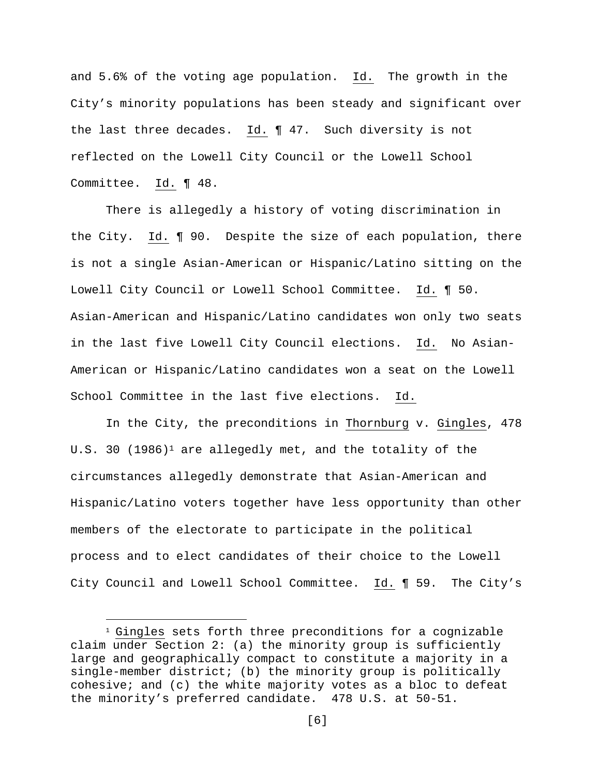and 5.6% of the voting age population. Id. The growth in the City's minority populations has been steady and significant over the last three decades. Id. ¶ 47. Such diversity is not reflected on the Lowell City Council or the Lowell School Committee. Id. ¶ 48.

There is allegedly a history of voting discrimination in the City. Id. ¶ 90. Despite the size of each population, there is not a single Asian-American or Hispanic/Latino sitting on the Lowell City Council or Lowell School Committee. Id. ¶ 50. Asian-American and Hispanic/Latino candidates won only two seats in the last five Lowell City Council elections. Id. No Asian-American or Hispanic/Latino candidates won a seat on the Lowell School Committee in the last five elections. Id.

In the City, the preconditions in Thornburg v. Gingles, 478 U.S. 30  $(1986)^1$  are allegedly met, and the totality of the circumstances allegedly demonstrate that Asian-American and Hispanic/Latino voters together have less opportunity than other members of the electorate to participate in the political process and to elect candidates of their choice to the Lowell City Council and Lowell School Committee. Id. ¶ 59. The City's

i

 $1$  Gingles sets forth three preconditions for a cognizable claim under Section 2: (a) the minority group is sufficiently large and geographically compact to constitute a majority in a single-member district; (b) the minority group is politically cohesive; and (c) the white majority votes as a bloc to defeat the minority's preferred candidate. 478 U.S. at 50-51.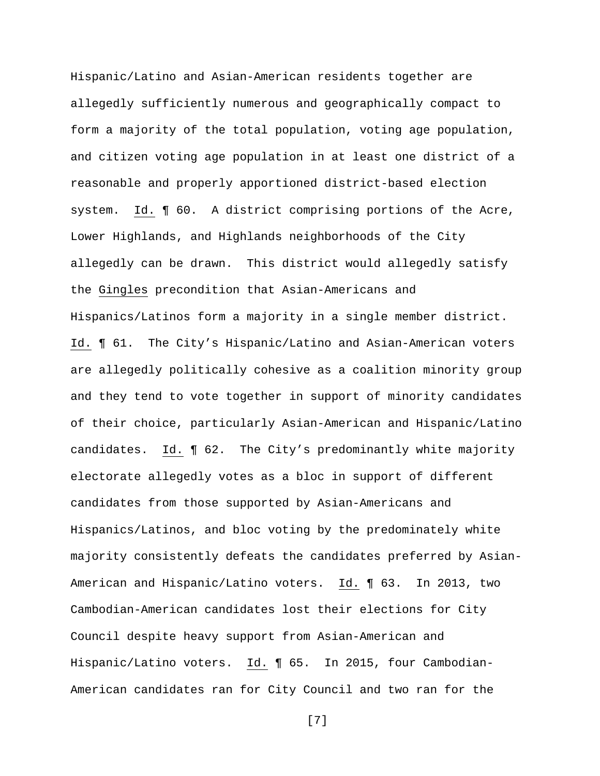Hispanic/Latino and Asian-American residents together are allegedly sufficiently numerous and geographically compact to form a majority of the total population, voting age population, and citizen voting age population in at least one district of a reasonable and properly apportioned district-based election system. Id. ¶ 60. A district comprising portions of the Acre, Lower Highlands, and Highlands neighborhoods of the City allegedly can be drawn. This district would allegedly satisfy the Gingles precondition that Asian-Americans and Hispanics/Latinos form a majority in a single member district. Id. ¶ 61. The City's Hispanic/Latino and Asian-American voters are allegedly politically cohesive as a coalition minority group and they tend to vote together in support of minority candidates of their choice, particularly Asian-American and Hispanic/Latino candidates. Id. ¶ 62. The City's predominantly white majority electorate allegedly votes as a bloc in support of different candidates from those supported by Asian-Americans and Hispanics/Latinos, and bloc voting by the predominately white majority consistently defeats the candidates preferred by Asian-American and Hispanic/Latino voters. Id. ¶ 63. In 2013, two Cambodian-American candidates lost their elections for City Council despite heavy support from Asian-American and Hispanic/Latino voters. Id. ¶ 65. In 2015, four Cambodian-American candidates ran for City Council and two ran for the

[7]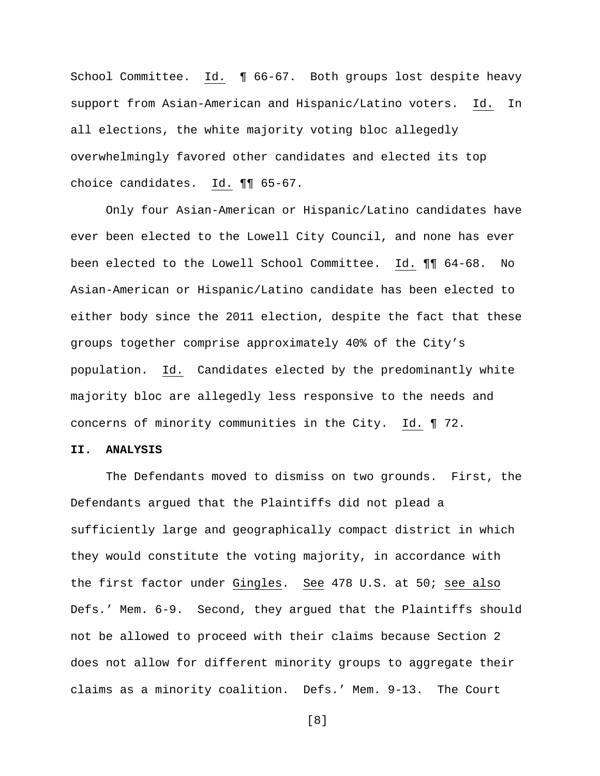School Committee. Id. ¶ 66-67. Both groups lost despite heavy support from Asian-American and Hispanic/Latino voters. Id. In all elections, the white majority voting bloc allegedly overwhelmingly favored other candidates and elected its top choice candidates. Id. ¶¶ 65-67.

Only four Asian-American or Hispanic/Latino candidates have ever been elected to the Lowell City Council, and none has ever been elected to the Lowell School Committee. Id. ¶¶ 64-68. No Asian-American or Hispanic/Latino candidate has been elected to either body since the 2011 election, despite the fact that these groups together comprise approximately 40% of the City's population. Id. Candidates elected by the predominantly white majority bloc are allegedly less responsive to the needs and concerns of minority communities in the City. Id. ¶ 72.

#### **II. ANALYSIS**

The Defendants moved to dismiss on two grounds. First, the Defendants argued that the Plaintiffs did not plead a sufficiently large and geographically compact district in which they would constitute the voting majority, in accordance with the first factor under Gingles. See 478 U.S. at 50; see also Defs.' Mem. 6-9. Second, they argued that the Plaintiffs should not be allowed to proceed with their claims because Section 2 does not allow for different minority groups to aggregate their claims as a minority coalition. Defs.' Mem. 9-13. The Court

[8]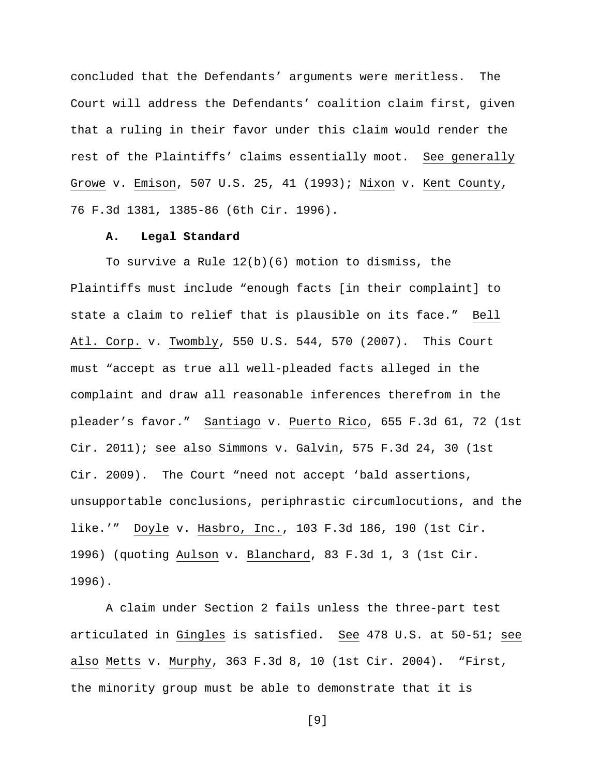concluded that the Defendants' arguments were meritless. The Court will address the Defendants' coalition claim first, given that a ruling in their favor under this claim would render the rest of the Plaintiffs' claims essentially moot. See generally Growe v. Emison, 507 U.S. 25, 41 (1993); Nixon v. Kent County, 76 F.3d 1381, 1385-86 (6th Cir. 1996).

## **A. Legal Standard**

To survive a Rule 12(b)(6) motion to dismiss, the Plaintiffs must include "enough facts [in their complaint] to state a claim to relief that is plausible on its face." Bell Atl. Corp. v. Twombly, 550 U.S. 544, 570 (2007). This Court must "accept as true all well-pleaded facts alleged in the complaint and draw all reasonable inferences therefrom in the pleader's favor." Santiago v. Puerto Rico, 655 F.3d 61, 72 (1st Cir. 2011); see also Simmons v. Galvin, 575 F.3d 24, 30 (1st Cir. 2009). The Court "need not accept 'bald assertions, unsupportable conclusions, periphrastic circumlocutions, and the like.'" Doyle v. Hasbro, Inc., 103 F.3d 186, 190 (1st Cir. 1996) (quoting Aulson v. Blanchard, 83 F.3d 1, 3 (1st Cir. 1996).

A claim under Section 2 fails unless the three-part test articulated in Gingles is satisfied. See 478 U.S. at 50-51; see also Metts v. Murphy, 363 F.3d 8, 10 (1st Cir. 2004). "First, the minority group must be able to demonstrate that it is

[9]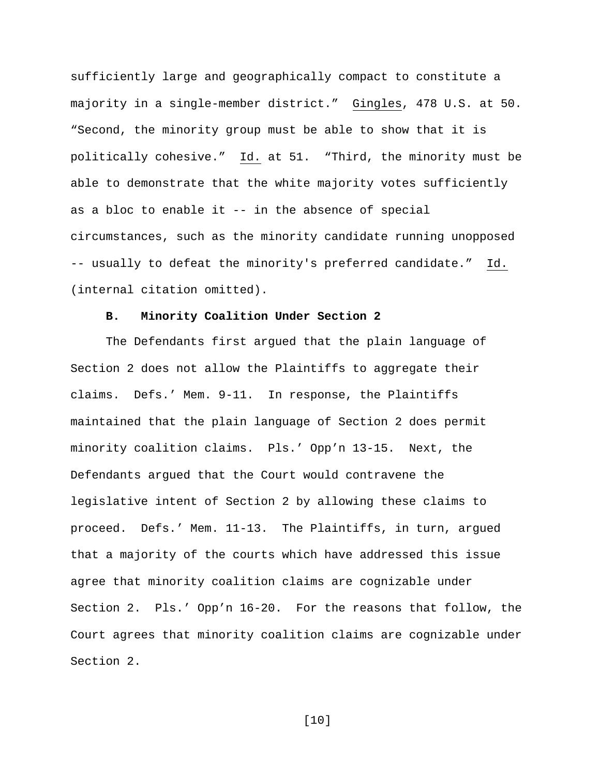sufficiently large and geographically compact to constitute a majority in a single-member district." Gingles, 478 U.S. at 50. "Second, the minority group must be able to show that it is politically cohesive." Id. at 51. "Third, the minority must be able to demonstrate that the white majority votes sufficiently as a bloc to enable it -- in the absence of special circumstances, such as the minority candidate running unopposed -- usually to defeat the minority's preferred candidate." Id. (internal citation omitted).

#### **B. Minority Coalition Under Section 2**

The Defendants first argued that the plain language of Section 2 does not allow the Plaintiffs to aggregate their claims. Defs.' Mem. 9-11. In response, the Plaintiffs maintained that the plain language of Section 2 does permit minority coalition claims. Pls.' Opp'n 13-15. Next, the Defendants argued that the Court would contravene the legislative intent of Section 2 by allowing these claims to proceed. Defs.' Mem. 11-13. The Plaintiffs, in turn, argued that a majority of the courts which have addressed this issue agree that minority coalition claims are cognizable under Section 2. Pls.' Opp'n 16-20. For the reasons that follow, the Court agrees that minority coalition claims are cognizable under Section 2.

[10]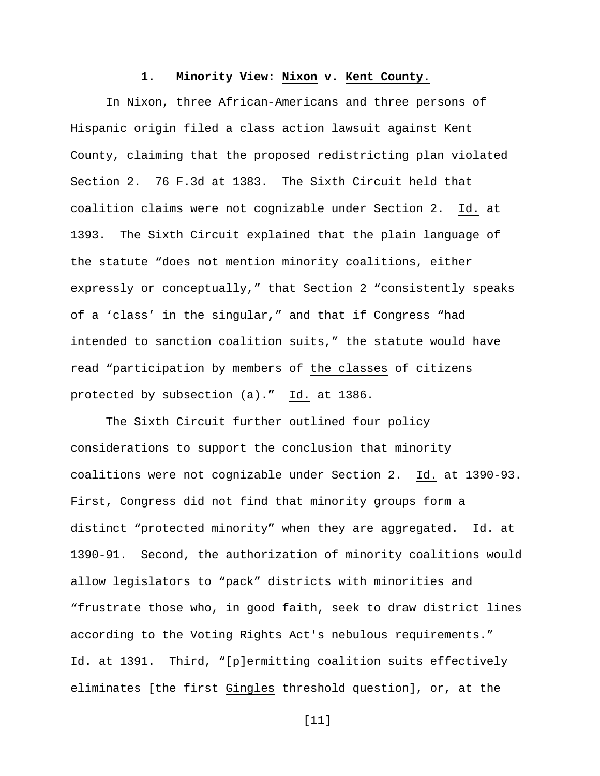#### **1. Minority View: Nixon v. Kent County.**

In Nixon, three African-Americans and three persons of Hispanic origin filed a class action lawsuit against Kent County, claiming that the proposed redistricting plan violated Section 2. 76 F.3d at 1383. The Sixth Circuit held that coalition claims were not cognizable under Section 2. Id. at 1393. The Sixth Circuit explained that the plain language of the statute "does not mention minority coalitions, either expressly or conceptually," that Section 2 "consistently speaks of a 'class' in the singular," and that if Congress "had intended to sanction coalition suits," the statute would have read "participation by members of the classes of citizens protected by subsection (a)." Id. at 1386.

The Sixth Circuit further outlined four policy considerations to support the conclusion that minority coalitions were not cognizable under Section 2. Id. at 1390-93. First, Congress did not find that minority groups form a distinct "protected minority" when they are aggregated. Id. at 1390-91. Second, the authorization of minority coalitions would allow legislators to "pack" districts with minorities and "frustrate those who, in good faith, seek to draw district lines according to the Voting Rights Act's nebulous requirements." Id. at 1391. Third, "[p]ermitting coalition suits effectively eliminates [the first Gingles threshold question], or, at the

[11]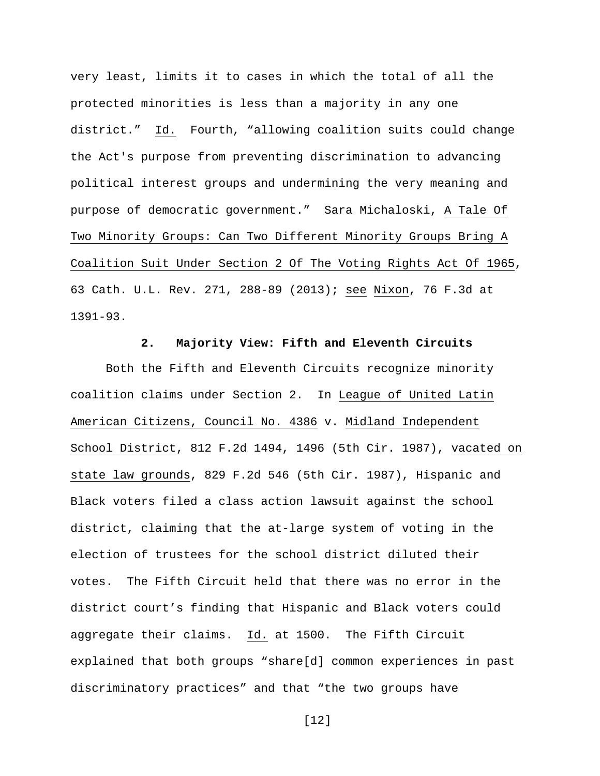very least, limits it to cases in which the total of all the protected minorities is less than a majority in any one district." Id. Fourth, "allowing coalition suits could change the Act's purpose from preventing discrimination to advancing political interest groups and undermining the very meaning and purpose of democratic government." Sara Michaloski, A Tale Of Two Minority Groups: Can Two Different Minority Groups Bring A Coalition Suit Under Section 2 Of The Voting Rights Act Of 1965, 63 Cath. U.L. Rev. 271, 288-89 (2013); see Nixon, 76 F.3d at 1391-93.

### **2. Majority View: Fifth and Eleventh Circuits**

Both the Fifth and Eleventh Circuits recognize minority coalition claims under Section 2. In League of United Latin American Citizens, Council No. 4386 v. Midland Independent School District, 812 F.2d 1494, 1496 (5th Cir. 1987), vacated on state law grounds, 829 F.2d 546 (5th Cir. 1987), Hispanic and Black voters filed a class action lawsuit against the school district, claiming that the at-large system of voting in the election of trustees for the school district diluted their votes. The Fifth Circuit held that there was no error in the district court's finding that Hispanic and Black voters could aggregate their claims. Id. at 1500. The Fifth Circuit explained that both groups "share[d] common experiences in past discriminatory practices" and that "the two groups have

[12]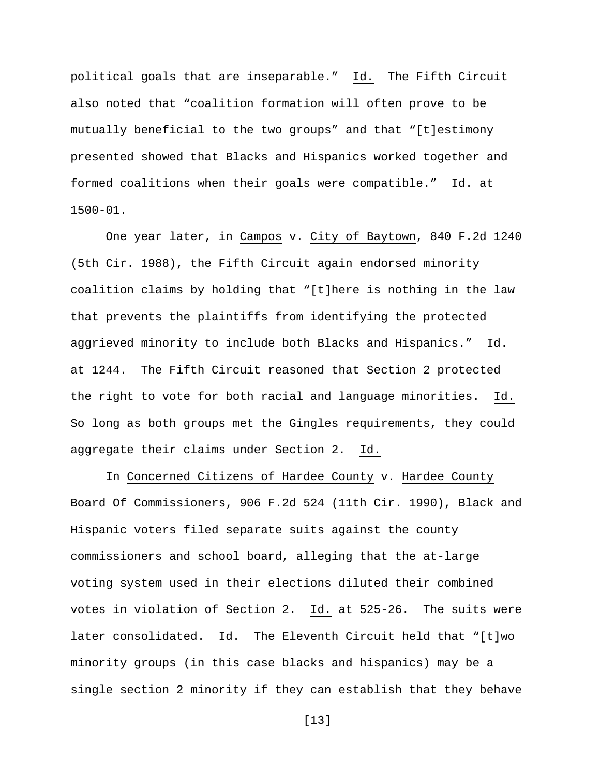political goals that are inseparable." Id. The Fifth Circuit also noted that "coalition formation will often prove to be mutually beneficial to the two groups" and that "[t]estimony presented showed that Blacks and Hispanics worked together and formed coalitions when their goals were compatible." Id. at 1500-01.

One year later, in Campos v. City of Baytown, 840 F.2d 1240 (5th Cir. 1988), the Fifth Circuit again endorsed minority coalition claims by holding that "[t]here is nothing in the law that prevents the plaintiffs from identifying the protected aggrieved minority to include both Blacks and Hispanics." Id. at 1244. The Fifth Circuit reasoned that Section 2 protected the right to vote for both racial and language minorities. Id. So long as both groups met the Gingles requirements, they could aggregate their claims under Section 2. Id.

In Concerned Citizens of Hardee County v. Hardee County Board Of Commissioners, 906 F.2d 524 (11th Cir. 1990), Black and Hispanic voters filed separate suits against the county commissioners and school board, alleging that the at-large voting system used in their elections diluted their combined votes in violation of Section 2. Id. at 525-26. The suits were later consolidated. Id. The Eleventh Circuit held that "[t]wo minority groups (in this case blacks and hispanics) may be a single section 2 minority if they can establish that they behave

[13]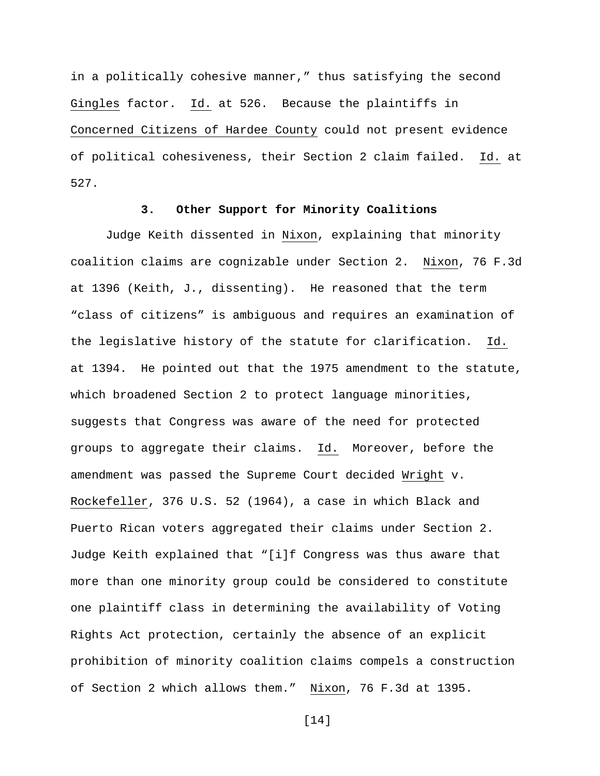in a politically cohesive manner," thus satisfying the second Gingles factor. Id. at 526. Because the plaintiffs in Concerned Citizens of Hardee County could not present evidence of political cohesiveness, their Section 2 claim failed. Id. at 527.

# **3. Other Support for Minority Coalitions**

Judge Keith dissented in Nixon, explaining that minority coalition claims are cognizable under Section 2. Nixon, 76 F.3d at 1396 (Keith, J., dissenting). He reasoned that the term "class of citizens" is ambiguous and requires an examination of the legislative history of the statute for clarification. Id. at 1394. He pointed out that the 1975 amendment to the statute, which broadened Section 2 to protect language minorities, suggests that Congress was aware of the need for protected groups to aggregate their claims. Id. Moreover, before the amendment was passed the Supreme Court decided Wright v. Rockefeller, 376 U.S. 52 (1964), a case in which Black and Puerto Rican voters aggregated their claims under Section 2. Judge Keith explained that "[i]f Congress was thus aware that more than one minority group could be considered to constitute one plaintiff class in determining the availability of Voting Rights Act protection, certainly the absence of an explicit prohibition of minority coalition claims compels a construction of Section 2 which allows them." Nixon, 76 F.3d at 1395.

[14]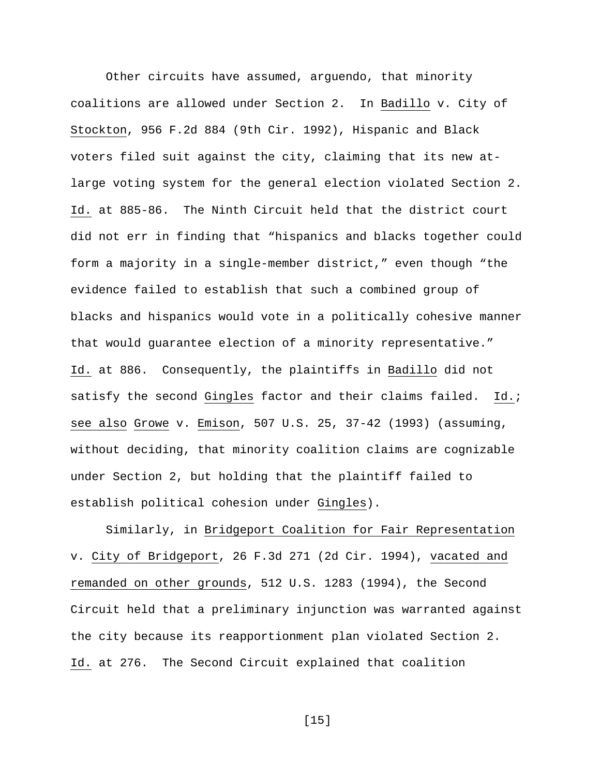Other circuits have assumed, arguendo, that minority coalitions are allowed under Section 2. In Badillo v. City of Stockton, 956 F.2d 884 (9th Cir. 1992), Hispanic and Black voters filed suit against the city, claiming that its new atlarge voting system for the general election violated Section 2. Id. at 885-86. The Ninth Circuit held that the district court did not err in finding that "hispanics and blacks together could form a majority in a single-member district," even though "the evidence failed to establish that such a combined group of blacks and hispanics would vote in a politically cohesive manner that would guarantee election of a minority representative." Id. at 886. Consequently, the plaintiffs in Badillo did not satisfy the second Gingles factor and their claims failed. Id.; see also Growe v. Emison, 507 U.S. 25, 37-42 (1993) (assuming, without deciding, that minority coalition claims are cognizable under Section 2, but holding that the plaintiff failed to establish political cohesion under Gingles).

Similarly, in Bridgeport Coalition for Fair Representation v. City of Bridgeport, 26 F.3d 271 (2d Cir. 1994), vacated and remanded on other grounds, 512 U.S. 1283 (1994), the Second Circuit held that a preliminary injunction was warranted against the city because its reapportionment plan violated Section 2. Id. at 276. The Second Circuit explained that coalition

[15]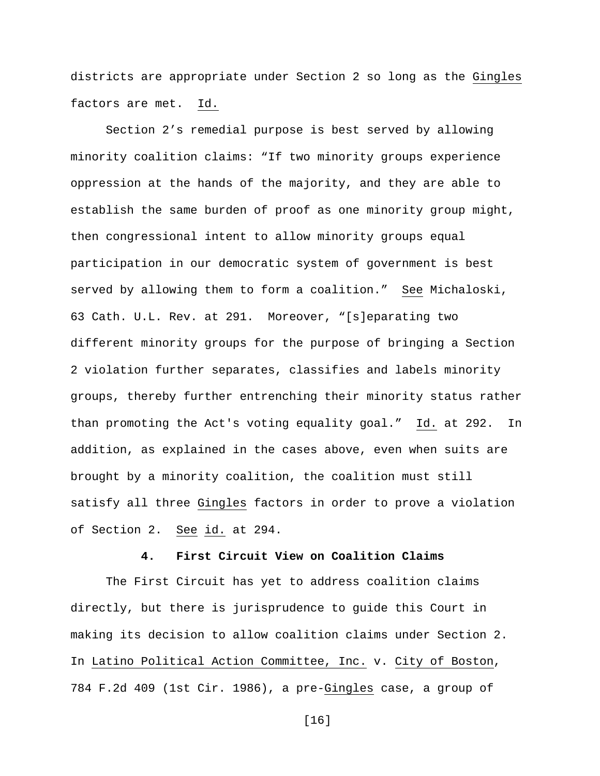districts are appropriate under Section 2 so long as the Gingles factors are met. Id.

Section 2's remedial purpose is best served by allowing minority coalition claims: "If two minority groups experience oppression at the hands of the majority, and they are able to establish the same burden of proof as one minority group might, then congressional intent to allow minority groups equal participation in our democratic system of government is best served by allowing them to form a coalition." See Michaloski, 63 Cath. U.L. Rev. at 291. Moreover, "[s]eparating two different minority groups for the purpose of bringing a Section 2 violation further separates, classifies and labels minority groups, thereby further entrenching their minority status rather than promoting the Act's voting equality goal." Id. at 292. In addition, as explained in the cases above, even when suits are brought by a minority coalition, the coalition must still satisfy all three Gingles factors in order to prove a violation of Section 2. See id. at 294.

## **4. First Circuit View on Coalition Claims**

The First Circuit has yet to address coalition claims directly, but there is jurisprudence to guide this Court in making its decision to allow coalition claims under Section 2. In Latino Political Action Committee, Inc. v. City of Boston, 784 F.2d 409 (1st Cir. 1986), a pre-Gingles case, a group of

[16]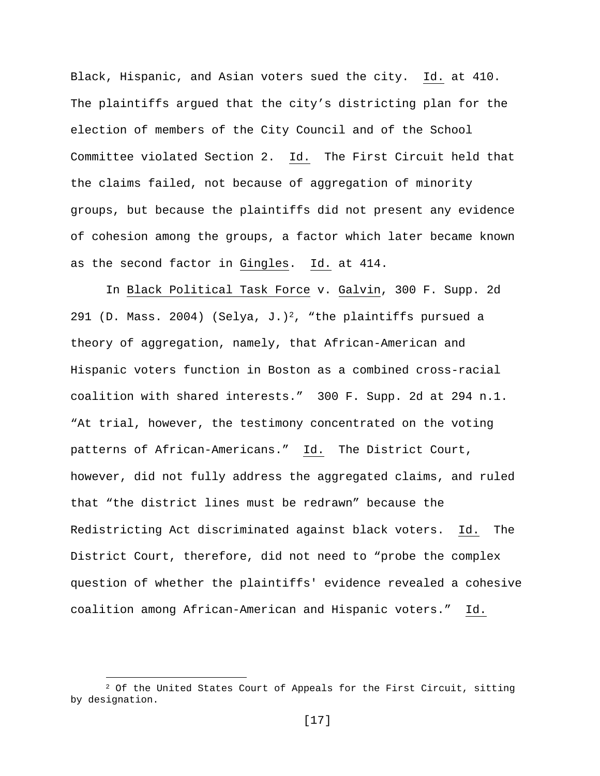Black, Hispanic, and Asian voters sued the city. Id. at 410. The plaintiffs argued that the city's districting plan for the election of members of the City Council and of the School Committee violated Section 2. Id. The First Circuit held that the claims failed, not because of aggregation of minority groups, but because the plaintiffs did not present any evidence of cohesion among the groups, a factor which later became known as the second factor in Gingles. Id. at 414.

In Black Political Task Force v. Galvin, 300 F. Supp. 2d 291 (D. Mass. 2004) (Selya, J.)<sup>2</sup>, "the plaintiffs pursued a theory of aggregation, namely, that African-American and Hispanic voters function in Boston as a combined cross-racial coalition with shared interests." 300 F. Supp. 2d at 294 n.1. "At trial, however, the testimony concentrated on the voting patterns of African-Americans." Id. The District Court, however, did not fully address the aggregated claims, and ruled that "the district lines must be redrawn" because the Redistricting Act discriminated against black voters. Id. The District Court, therefore, did not need to "probe the complex question of whether the plaintiffs' evidence revealed a cohesive coalition among African-American and Hispanic voters." Id.

i

<sup>&</sup>lt;sup>2</sup> Of the United States Court of Appeals for the First Circuit, sitting by designation.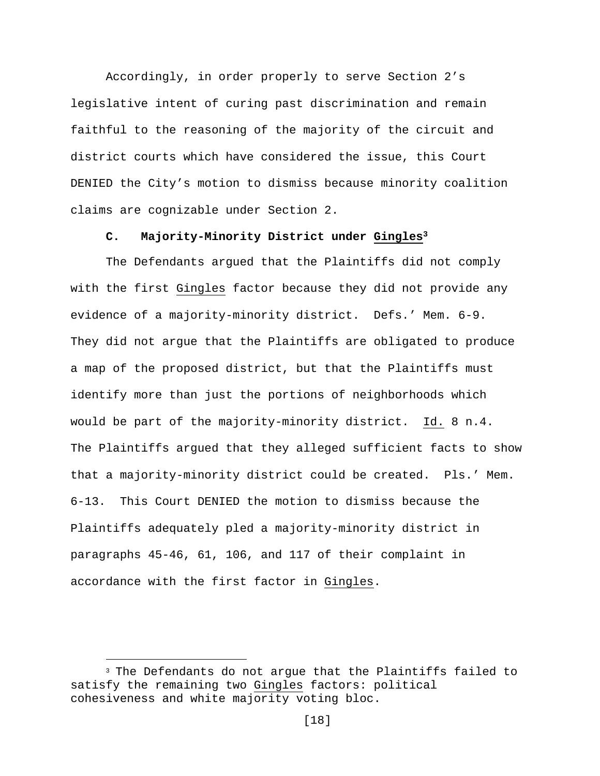Accordingly, in order properly to serve Section 2's legislative intent of curing past discrimination and remain faithful to the reasoning of the majority of the circuit and district courts which have considered the issue, this Court DENIED the City's motion to dismiss because minority coalition claims are cognizable under Section 2.

# **C. Majority-Minority District under Gingles<sup>3</sup>**

The Defendants argued that the Plaintiffs did not comply with the first Gingles factor because they did not provide any evidence of a majority-minority district. Defs.' Mem. 6-9. They did not argue that the Plaintiffs are obligated to produce a map of the proposed district, but that the Plaintiffs must identify more than just the portions of neighborhoods which would be part of the majority-minority district. Id. 8 n.4. The Plaintiffs argued that they alleged sufficient facts to show that a majority-minority district could be created. Pls.' Mem. 6-13. This Court DENIED the motion to dismiss because the Plaintiffs adequately pled a majority-minority district in paragraphs 45-46, 61, 106, and 117 of their complaint in accordance with the first factor in Gingles.

<sup>&</sup>lt;sup>3</sup> The Defendants do not arque that the Plaintiffs failed to satisfy the remaining two Gingles factors: political cohesiveness and white majority voting bloc.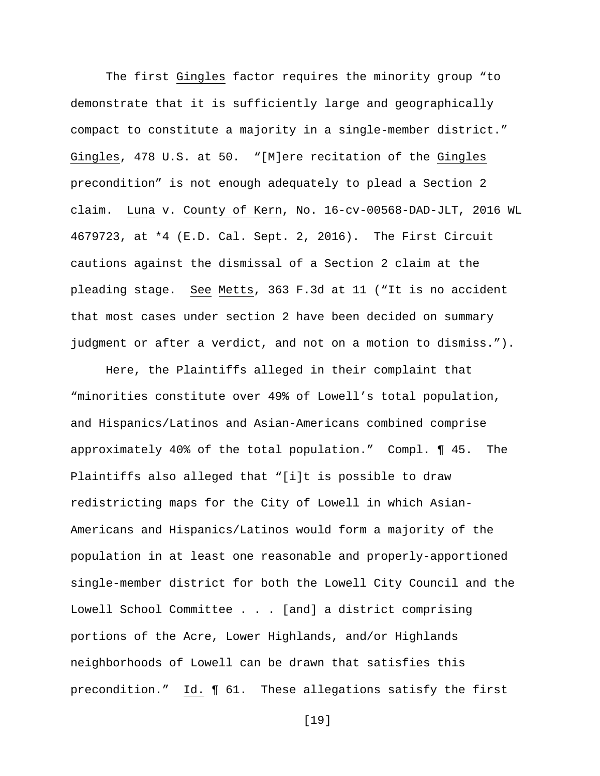The first Gingles factor requires the minority group "to demonstrate that it is sufficiently large and geographically compact to constitute a majority in a single-member district." Gingles, 478 U.S. at 50. "[M]ere recitation of the Gingles precondition" is not enough adequately to plead a Section 2 claim. Luna v. County of Kern, No. 16-cv-00568-DAD-JLT, 2016 WL 4679723, at \*4 (E.D. Cal. Sept. 2, 2016). The First Circuit cautions against the dismissal of a Section 2 claim at the pleading stage. See Metts, 363 F.3d at 11 ("It is no accident that most cases under section 2 have been decided on summary judgment or after a verdict, and not on a motion to dismiss.").

Here, the Plaintiffs alleged in their complaint that "minorities constitute over 49% of Lowell's total population, and Hispanics/Latinos and Asian-Americans combined comprise approximately 40% of the total population." Compl. ¶ 45. The Plaintiffs also alleged that "[i]t is possible to draw redistricting maps for the City of Lowell in which Asian-Americans and Hispanics/Latinos would form a majority of the population in at least one reasonable and properly-apportioned single-member district for both the Lowell City Council and the Lowell School Committee . . . [and] a district comprising portions of the Acre, Lower Highlands, and/or Highlands neighborhoods of Lowell can be drawn that satisfies this precondition." Id. ¶ 61. These allegations satisfy the first

[19]